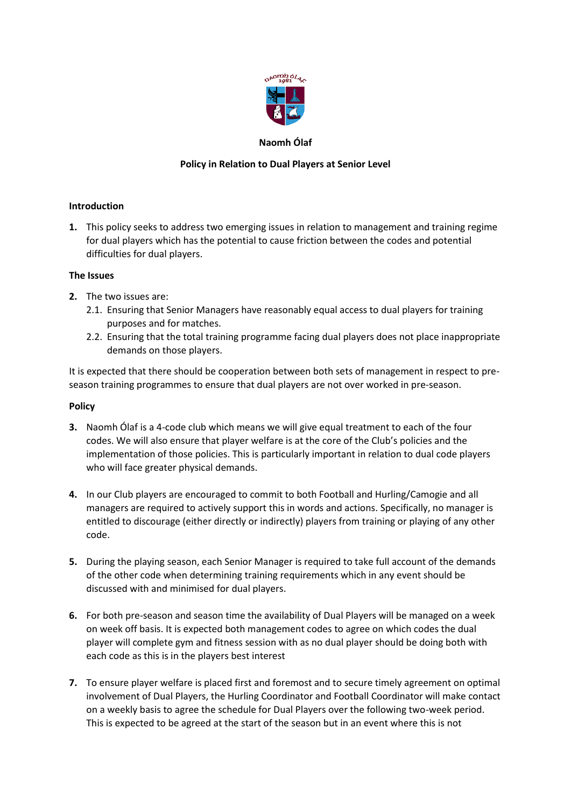

# **Naomh Ólaf**

## **Policy in Relation to Dual Players at Senior Level**

### **Introduction**

**1.** This policy seeks to address two emerging issues in relation to management and training regime for dual players which has the potential to cause friction between the codes and potential difficulties for dual players.

### **The Issues**

- **2.** The two issues are:
	- 2.1. Ensuring that Senior Managers have reasonably equal access to dual players for training purposes and for matches.
	- 2.2. Ensuring that the total training programme facing dual players does not place inappropriate demands on those players.

It is expected that there should be cooperation between both sets of management in respect to preseason training programmes to ensure that dual players are not over worked in pre-season.

#### **Policy**

- **3.** Naomh Ólaf is a 4-code club which means we will give equal treatment to each of the four codes. We will also ensure that player welfare is at the core of the Club's policies and the implementation of those policies. This is particularly important in relation to dual code players who will face greater physical demands.
- **4.** In our Club players are encouraged to commit to both Football and Hurling/Camogie and all managers are required to actively support this in words and actions. Specifically, no manager is entitled to discourage (either directly or indirectly) players from training or playing of any other code.
- **5.** During the playing season, each Senior Manager is required to take full account of the demands of the other code when determining training requirements which in any event should be discussed with and minimised for dual players.
- **6.** For both pre-season and season time the availability of Dual Players will be managed on a week on week off basis. It is expected both management codes to agree on which codes the dual player will complete gym and fitness session with as no dual player should be doing both with each code as this is in the players best interest
- **7.** To ensure player welfare is placed first and foremost and to secure timely agreement on optimal involvement of Dual Players, the Hurling Coordinator and Football Coordinator will make contact on a weekly basis to agree the schedule for Dual Players over the following two-week period. This is expected to be agreed at the start of the season but in an event where this is not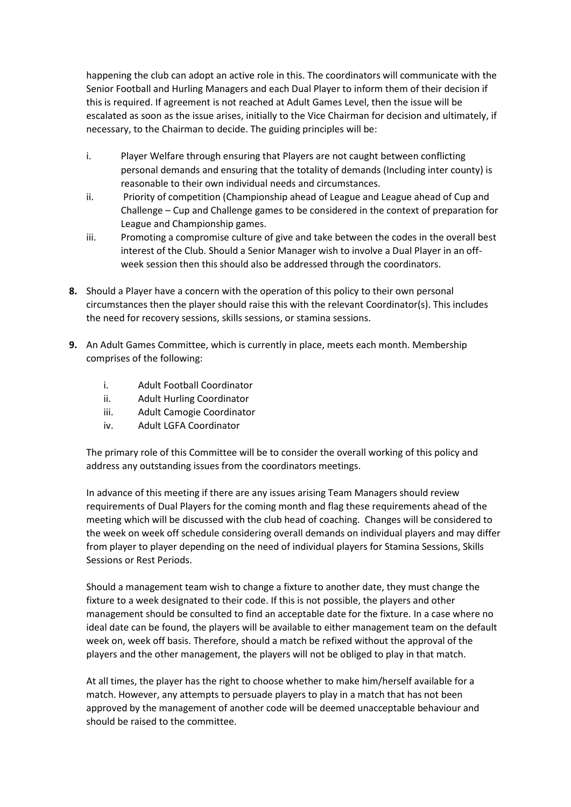happening the club can adopt an active role in this. The coordinators will communicate with the Senior Football and Hurling Managers and each Dual Player to inform them of their decision if this is required. If agreement is not reached at Adult Games Level, then the issue will be escalated as soon as the issue arises, initially to the Vice Chairman for decision and ultimately, if necessary, to the Chairman to decide. The guiding principles will be:

- i. Player Welfare through ensuring that Players are not caught between conflicting personal demands and ensuring that the totality of demands (Including inter county) is reasonable to their own individual needs and circumstances.
- ii. Priority of competition (Championship ahead of League and League ahead of Cup and Challenge – Cup and Challenge games to be considered in the context of preparation for League and Championship games.
- iii. Promoting a compromise culture of give and take between the codes in the overall best interest of the Club. Should a Senior Manager wish to involve a Dual Player in an offweek session then this should also be addressed through the coordinators.
- **8.** Should a Player have a concern with the operation of this policy to their own personal circumstances then the player should raise this with the relevant Coordinator(s). This includes the need for recovery sessions, skills sessions, or stamina sessions.
- **9.** An Adult Games Committee, which is currently in place, meets each month. Membership comprises of the following:
	- i. Adult Football Coordinator
	- ii. Adult Hurling Coordinator
	- iii. Adult Camogie Coordinator
	- iv. Adult LGFA Coordinator

The primary role of this Committee will be to consider the overall working of this policy and address any outstanding issues from the coordinators meetings.

In advance of this meeting if there are any issues arising Team Managers should review requirements of Dual Players for the coming month and flag these requirements ahead of the meeting which will be discussed with the club head of coaching. Changes will be considered to the week on week off schedule considering overall demands on individual players and may differ from player to player depending on the need of individual players for Stamina Sessions, Skills Sessions or Rest Periods.

Should a management team wish to change a fixture to another date, they must change the fixture to a week designated to their code. If this is not possible, the players and other management should be consulted to find an acceptable date for the fixture. In a case where no ideal date can be found, the players will be available to either management team on the default week on, week off basis. Therefore, should a match be refixed without the approval of the players and the other management, the players will not be obliged to play in that match.

At all times, the player has the right to choose whether to make him/herself available for a match. However, any attempts to persuade players to play in a match that has not been approved by the management of another code will be deemed unacceptable behaviour and should be raised to the committee.